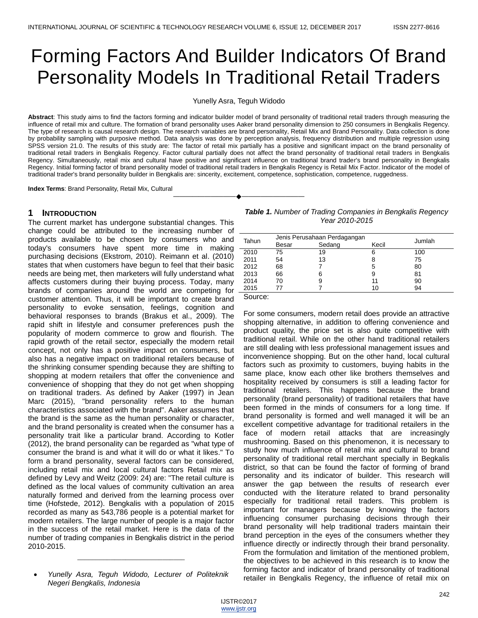# Forming Factors And Builder Indicators Of Brand Personality Models In Traditional Retail Traders

Yunelly Asra, Teguh Widodo

**Abstract**: This study aims to find the factors forming and indicator builder model of brand personality of traditional retail traders through measuring the influence of retail mix and culture. The formation of brand personality uses Aaker brand personality dimension to 250 consumers in Bengkalis Regency. The type of research is causal research design. The research variables are brand personality, Retail Mix and Brand Personality. Data collection is done by probability sampling with purposive method. Data analysis was done by perception analysis, frequency distribution and multiple regression using SPSS version 21.0. The results of this study are: The factor of retail mix partially has a positive and significant impact on the brand personality of traditional retail traders in Bengkalis Regency. Factor cultural partially does not affect the brand personality of traditional retail traders in Bengkalis Regency. Simultaneously, retail mix and cultural have positive and significant influence on traditional brand trader's brand personality in Bengkalis Regency. Initial forming factor of brand personality model of traditional retail traders in Bengkalis Regency is Retail Mix Factor. Indicator of the model of traditional trader's brand personality builder in Bengkalis are: sincerity, excitement, competence, sophistication, competence, ruggedness.

————————————————————

**Index Terms**: Brand Personality, Retail Mix, Cultural

# **1 INTRODUCTION**

The current market has undergone substantial changes. This change could be attributed to the increasing number of \_ products available to be chosen by consumers who and today's consumers have spent more time in making purchasing decisions (Ekstrom, 2010). Reimann et al. (2010) states that when customers have begun to feel that their basic needs are being met, then marketers will fully understand what affects customers during their buying process. Today, many brands of companies around the world are competing for customer attention. Thus, it will be important to create brand personality to evoke sensation, feelings, cognition and behavioral responses to brands (Brakus et al., 2009). The rapid shift in lifestyle and consumer preferences push the popularity of modern commerce to grow and flourish. The rapid growth of the retail sector, especially the modern retail concept, not only has a positive impact on consumers, but also has a negative impact on traditional retailers because of the shrinking consumer spending because they are shifting to shopping at modern retailers that offer the convenience and convenience of shopping that they do not get when shopping on traditional traders. As defined by Aaker (1997) in Jean Marc (2015), "brand personality refers to the human characteristics associated with the brand". Aaker assumes that the brand is the same as the human personality or character, and the brand personality is created when the consumer has a personality trait like a particular brand. According to Kotler (2012), the brand personality can be regarded as "what type of consumer the brand is and what it will do or what it likes." To form a brand personality, several factors can be considered, including retail mix and local cultural factors Retail mix as defined by Levy and Weitz (2009: 24) are: "The retail culture is defined as the local values of community cultivation an area naturally formed and derived from the learning process over time (Hofstede, 2012). Bengkalis with a population of 2015 recorded as many as 543,786 people is a potential market for modern retailers. The large number of people is a major factor in the success of the retail market. Here is the data of the number of trading companies in Bengkalis district in the period 2010-2015.

\_\_\_\_\_\_\_\_\_\_\_\_\_\_\_\_\_\_\_\_\_\_\_\_\_\_\_\_\_

*Table 1. Number of Trading Companies in Bengkalis Regency Year 2010-2015*

| Tahun | Jenis Perusahaan Perdagangan | Jumlah |       |     |  |
|-------|------------------------------|--------|-------|-----|--|
|       | Besar                        | Sedang | Kecil |     |  |
| 2010  | 75                           | 19     | 6     | 100 |  |
| 2011  | 54                           | 13     | 8     | 75  |  |
| 2012  | 68                           |        | 5     | 80  |  |
| 2013  | 66                           | 6      | 9     | 81  |  |
| 2014  | 70                           | 9      | 11    | 90  |  |
| 2015  |                              |        | 10    | 94  |  |
|       |                              |        |       |     |  |

Source:

For some consumers, modern retail does provide an attractive shopping alternative, in addition to offering convenience and product quality, the price set is also quite competitive with traditional retail. While on the other hand traditional retailers are still dealing with less professional management issues and inconvenience shopping. But on the other hand, local cultural factors such as proximity to customers, buying habits in the same place, know each other like brothers themselves and hospitality received by consumers is still a leading factor for traditional retailers. This happens because the brand personality (brand personality) of traditional retailers that have been formed in the minds of consumers for a long time. If brand personality is formed and well managed it will be an excellent competitive advantage for traditional retailers in the face of modern retail attacks that are increasingly mushrooming. Based on this phenomenon, it is necessary to study how much influence of retail mix and cultural to brand personality of traditional retail merchant specially in Begkalis district, so that can be found the factor of forming of brand personality and its indicator of builder. This research will answer the gap between the results of research ever conducted with the literature related to brand personality especially for traditional retail traders. This problem is important for managers because by knowing the factors influencing consumer purchasing decisions through their brand personality will help traditional traders maintain their brand perception in the eyes of the consumers whether they influence directly or indirectly through their brand personality. From the formulation and limitation of the mentioned problem, the objectives to be achieved in this research is to know the forming factor and indicator of brand personality of traditional retailer in Bengkalis Regency, the influence of retail mix on

*Yunelly Asra, Teguh Widodo, Lecturer of Politeknik Negeri Bengkalis, Indonesia*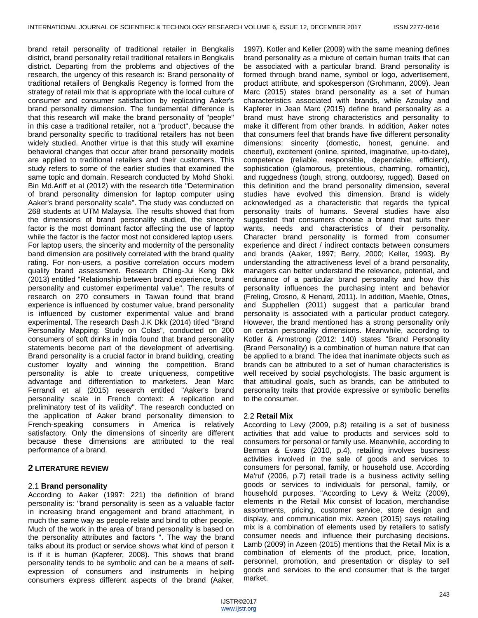brand retail personality of traditional retailer in Bengkalis district, brand personality retail traditional retailers in Bengkalis district. Departing from the problems and objectives of the research, the urgency of this research is: Brand personality of traditional retailers of Bengkalis Regency is formed from the strategy of retail mix that is appropriate with the local culture of consumer and consumer satisfaction by replicating Aaker's brand personality dimension. The fundamental difference is that this research will make the brand personality of "people" in this case a traditional retailer, not a "product", because the brand personality specific to traditional retailers has not been widely studied. Another virtue is that this study will examine behavioral changes that occur after brand personality models are applied to traditional retailers and their customers. This study refers to some of the earlier studies that examined the same topic and domain. Research conducted by Mohd Shoki. Bin Md.Ariff et al (2012) with the research title "Determination of brand personality dimension for laptop computer using Aaker's brand personality scale". The study was conducted on 268 students at UTM Malaysia. The results showed that from the dimensions of brand personality studied, the sincerity factor is the most dominant factor affecting the use of laptop while the factor is the factor most not considered laptop users. For laptop users, the sincerity and modernity of the personality band dimension are positively correlated with the brand quality rating. For non-users, a positive correlation occurs modern quality brand assessment. Research Ching-Jui Keng Dkk (2013) entitled "Relationship between brand experience, brand personality and customer experimental value". The results of research on 270 consumers in Taiwan found that brand experience is influenced by costumer value, brand personality is influenced by customer experimental value and brand experimental. The research Dash J.K Dkk (2014) titled "Brand Personality Mapping: Study on Colas", conducted on 200 consumers of soft drinks in India found that brand personality statements become part of the development of advertising. Brand personality is a crucial factor in brand building, creating customer loyalty and winning the competition. Brand personality is able to create uniqueness, competitive advantage and differentiation to marketers. Jean Marc Ferrandi et al (2015) research entitled "Aaker's brand personality scale in French context: A replication and preliminatory test of its validity". The research conducted on the application of Aaker brand personality dimension to French-speaking consumers in America is relatively satisfactory. Only the dimensions of sincerity are different because these dimensions are attributed to the real performance of a brand.

# **2 LITERATURE REVIEW**

### 2.1 **Brand personality**

According to Aaker (1997: 221) the definition of brand personality is: "brand personality is seen as a valuable factor in increasing brand engagement and brand attachment, in much the same way as people relate and bind to other people. Much of the work in the area of brand personality is based on the personality attributes and factors ". The way the brand talks about its product or service shows what kind of person it is if it is human (Kapferer, 2008). This shows that brand personality tends to be symbolic and can be a means of selfexpression of consumers and instruments in helping consumers express different aspects of the brand (Aaker,

1997). Kotler and Keller (2009) with the same meaning defines brand personality as a mixture of certain human traits that can be associated with a particular brand. Brand personality is formed through brand name, symbol or logo, advertisement, product attribute, and spokesperson (Grohmann, 2009). Jean Marc (2015) states brand personality as a set of human characteristics associated with brands, while Azoulay and Kapferer in Jean Marc (2015) define brand personality as a brand must have strong characteristics and personality to make it different from other brands. In addition, Aaker notes that consumers feel that brands have five different personality dimensions: sincerity (domestic, honest, genuine, and cheerful), excitement (online, spirited, imaginative, up-to-date), competence (reliable, responsible, dependable, efficient), sophistication (glamorous, pretentious, charming, romantic), and ruggedness (tough, strong, outdoorsy, rugged). Based on this definition and the brand personality dimension, several studies have evolved this dimension. Brand is widely acknowledged as a characteristic that regards the typical personality traits of humans. Several studies have also suggested that consumers choose a brand that suits their wants, needs and characteristics of their personality. Character brand personality is formed from consumer experience and direct / indirect contacts between consumers and brands (Aaker, 1997; Berry, 2000; Keller, 1993). By understanding the attractiveness level of a brand personality, managers can better understand the relevance, potential, and endurance of a particular brand personality and how this personality influences the purchasing intent and behavior (Freling, Crosno, & Henard, 2011). In addition, Maehle, Otnes, and Supphellen (2011) suggest that a particular brand personality is associated with a particular product category. However, the brand mentioned has a strong personality only on certain personality dimensions. Meanwhile, according to Kotler & Armstrong (2012: 140) states "Brand Personality (Brand Personality) is a combination of human nature that can be applied to a brand. The idea that inanimate objects such as brands can be attributed to a set of human characteristics is well received by social psychologists. The basic argument is that attitudinal goals, such as brands, can be attributed to personality traits that provide expressive or symbolic benefits to the consumer.

### 2.2 **Retail Mix**

According to Levy (2009, p.8) retailing is a set of business activities that add value to products and services sold to consumers for personal or family use. Meanwhile, according to Berman & Evans (2010, p.4), retailing involves business activities involved in the sale of goods and services to consumers for personal, family, or household use. According Ma'ruf (2006, p.7) retail trade is a business activity selling goods or services to individuals for personal, family, or household purposes. "According to Levy & Weitz (2009), elements in the Retail Mix consist of location, merchandise assortments, pricing, customer service, store design and display, and communication mix. Azeen (2015) says retailing mix is a combination of elements used by retailers to satisfy consumer needs and influence their purchasing decisions. Lamb (2009) in Azeen (2015) mentions that the Retail Mix is a combination of elements of the product, price, location, personnel, promotion, and presentation or display to sell goods and services to the end consumer that is the target market.

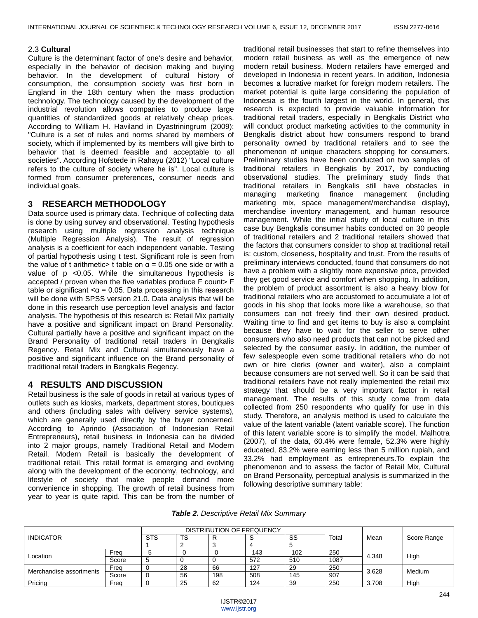# 2.3 **Cultural**

Culture is the determinant factor of one's desire and behavior, especially in the behavior of decision making and buying behavior. In the development of cultural history of consumption, the consumption society was first born in England in the 18th century when the mass production technology. The technology caused by the development of the industrial revolution allows companies to produce large quantities of standardized goods at relatively cheap prices. According to William H. Haviland in Dyastriningrum (2009): "Culture is a set of rules and norms shared by members of society, which if implemented by its members will give birth to behavior that is deemed feasible and acceptable to all societies". According Hofstede in Rahayu (2012) "Local culture refers to the culture of society where he is". Local culture is formed from consumer preferences, consumer needs and individual goals.

# **3 RESEARCH METHODOLOGY**

Data source used is primary data. Technique of collecting data is done by using survey and observational. Testing hypothesis research using multiple regression analysis technique (Multiple Regression Analysis). The result of regression analysis is a coefficient for each independent variable. Testing of partial hypothesis using t test. Significant role is seen from the value of t arithmetic> t table on  $α = 0.05$  one side or with a value of p <0.05. While the simultaneous hypothesis is accepted / proven when the five variables produce F count> F table or significant  $\alpha$  = 0.05. Data processing in this research will be done with SPSS version 21.0. Data analysis that will be done in this research use perception level analysis and factor analysis. The hypothesis of this research is: Retail Mix partially have a positive and significant impact on Brand Personality. Cultural partially have a positive and significant impact on the Brand Personality of traditional retail traders in Bengkalis Regency. Retail Mix and Cultural simultaneously have a positive and significant influence on the Brand personality of traditional retail traders in Bengkalis Regency.

# **4 RESULTS AND DISCUSSION**

Retail business is the sale of goods in retail at various types of outlets such as kiosks, markets, department stores, boutiques and others (including sales with delivery service systems), which are generally used directly by the buyer concerned. According to Aprindo (Association of Indonesian Retail Entrepreneurs), retail business in Indonesia can be divided into 2 major groups, namely Traditional Retail and Modern Retail. Modern Retail is basically the development of traditional retail. This retail format is emerging and evolving along with the development of the economy, technology, and lifestyle of society that make people demand more convenience in shopping. The growth of retail business from year to year is quite rapid. This can be from the number of

traditional retail businesses that start to refine themselves into modern retail business as well as the emergence of new modern retail business. Modern retailers have emerged and developed in Indonesia in recent years. In addition, Indonesia becomes a lucrative market for foreign modern retailers. The market potential is quite large considering the population of Indonesia is the fourth largest in the world. In general, this research is expected to provide valuable information for traditional retail traders, especially in Bengkalis District who will conduct product marketing activities to the community in Bengkalis district about how consumers respond to brand personality owned by traditional retailers and to see the phenomenon of unique characters shopping for consumers. Preliminary studies have been conducted on two samples of traditional retailers in Bengkalis by 2017, by conducting observational studies. The preliminary study finds that traditional retailers in Bengkalis still have obstacles in managing marketing finance management (including marketing mix, space management/merchandise display), merchandise inventory management, and human resource management. While the initial study of local culture in this case buy Bengkalis consumer habits conducted on 30 people of traditional retailers and 2 traditional retailers showed that the factors that consumers consider to shop at traditional retail is: custom, closeness, hospitality and trust. From the results of preliminary interviews conducted, found that consumers do not have a problem with a slightly more expensive price, provided they get good service and comfort when shopping. In addition, the problem of product assortment is also a heavy blow for traditional retailers who are accustomed to accumulate a lot of goods in his shop that looks more like a warehouse, so that consumers can not freely find their own desired product. Waiting time to find and get items to buy is also a complaint because they have to wait for the seller to serve other consumers who also need products that can not be picked and selected by the consumer easily. In addition, the number of few salespeople even some traditional retailers who do not own or hire clerks (owner and waiter), also a complaint because consumers are not served well. So it can be said that traditional retailers have not really implemented the retail mix strategy that should be a very important factor in retail management. The results of this study come from data collected from 250 respondents who qualify for use in this study. Therefore, an analysis method is used to calculate the value of the latent variable (latent variable score). The function of this latent variable score is to simplify the model. Malhotra (2007), of the data, 60.4% were female, 52.3% were highly educated, 83.2% were earning less than 5 million rupiah, and 33.2% had employment as entrepreneurs.To explain the phenomenon and to assess the factor of Retail Mix, Cultural on Brand Personality, perceptual analysis is summarized in the following descriptive summary table:

|  | Table 2. Descriptive Retail Mix Summary |  |  |
|--|-----------------------------------------|--|--|
|--|-----------------------------------------|--|--|

| <b>INDICATOR</b>        |       |            |    | DISTRIBUTION OF FREQUENCY |     |     |       |       |               |
|-------------------------|-------|------------|----|---------------------------|-----|-----|-------|-------|---------------|
|                         |       | <b>STS</b> | TS |                           | ◡   | SS  | Total | Mean  | Score Range   |
| Location                | Frea  |            |    |                           | 143 | 102 | 250   | 4.348 | High          |
|                         | Score |            |    |                           | 572 | 510 | 1087  |       |               |
| Merchandise assortments | Freq  |            | 28 | 66                        | 127 | 29  | 250   | 3.628 | <b>Medium</b> |
|                         | Score |            | 56 | 198                       | 508 | 145 | 907   |       |               |
| Pricing                 | Freo  |            | 25 | 62                        | 124 | 39  | 250   | 3.708 | High          |

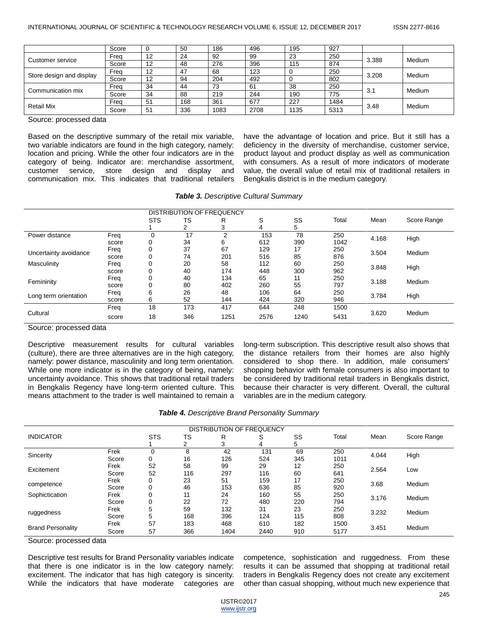|                          | Score | υ  | 50  | 186  | 496  | 195  | 927  |       |        |
|--------------------------|-------|----|-----|------|------|------|------|-------|--------|
| Customer service         | Frea  | 12 | 24  | 92   | 99   | 23   | 250  | 3.388 | Medium |
|                          | Score | 12 | 48  | 276  | 396  | 115  | 874  |       |        |
| Store design and display | Frea  | 12 | 47  | 68   | 123  |      | 250  | 3.208 | Medium |
|                          | Score | 12 | 94  | 204  | 492  |      | 802  |       |        |
| Communication mix        | Frea  | 34 | 44  | 73   | 61   | 38   | 250  | 3.1   | Medium |
|                          | Score | 34 | 88  | 219  | 244  | 190  | 775  |       |        |
|                          | Frea  | 51 | 168 | 361  | 677  | 227  | 1484 |       | Medium |
| <b>Retail Mix</b>        | Score | 51 | 336 | 1083 | 2708 | 1135 | 5313 | 3.48  |        |

Source: processed data

Based on the descriptive summary of the retail mix variable, two variable indicators are found in the high category, namely: location and pricing. While the other four indicators are in the category of being. Indicator are: merchandise assortment, customer service, store design and display and communication mix. This indicates that traditional retailers have the advantage of location and price. But it still has a deficiency in the diversity of merchandise, customer service, product layout and product display as well as communication with consumers. As a result of more indicators of moderate value, the overall value of retail mix of traditional retailers in Bengkalis district is in the medium category.

| Table 3. Descriptive Cultural Summary |  |  |  |  |  |
|---------------------------------------|--|--|--|--|--|
|---------------------------------------|--|--|--|--|--|

|                       |       |            |     | <b>DISTRIBUTION OF FREQUENCY</b> |      |      |       |       |               |
|-----------------------|-------|------------|-----|----------------------------------|------|------|-------|-------|---------------|
|                       |       | <b>STS</b> | TS  | R                                | S    | SS   | Total | Mean  | Score Range   |
|                       |       |            |     | 3                                | 4    | 5    |       |       |               |
| Power distance        | Freq  | 0          | 17  | ◠                                | 153  | 78   | 250   | 4.168 | High          |
|                       | score |            | 34  | 6                                | 612  | 390  | 1042  |       |               |
| Uncertainty avoidance | Freq  |            | 37  | 67                               | 129  | 17   | 250   | 3.504 | <b>Medium</b> |
|                       | score |            | 74  | 201                              | 516  | 85   | 876   |       |               |
| Masculinity           | Freq  |            | 20  | 58                               | 112  | 60   | 250   | 3.848 | High          |
|                       | score |            | 40  | 174                              | 448  | 300  | 962   |       |               |
| Femininity            | Freq  |            | 40  | 134                              | 65   | 11   | 250   | 3.188 | Medium        |
|                       | score |            | 80  | 402                              | 260  | 55   | 797   |       |               |
| Long term orientation | Freq  | 6          | 26  | 48                               | 106  | 64   | 250   | 3.784 | High          |
|                       | score | 6          | 52  | 144                              | 424  | 320  | 946   |       |               |
|                       | Freq  | 18         | 173 | 417                              | 644  | 248  | 1500  |       |               |
| Cultural              | score | 18         | 346 | 1251                             | 2576 | 1240 | 5431  | 3.620 | Medium        |

Source: processed data

Descriptive measurement results for cultural variables (culture), there are three alternatives are in the high category, namely: power distance, masculinity and long term orientation. While one more indicator is in the category of being, namely: uncertainty avoidance. This shows that traditional retail traders in Bengkalis Regency have long-term oriented culture. This means attachment to the trader is well maintained to remain a

long-term subscription. This descriptive result also shows that the distance retailers from their homes are also highly considered to shop there. In addition, male consumers' shopping behavior with female consumers is also important to be considered by traditional retail traders in Bengkalis district, because their character is very different. Overall, the cultural variables are in the medium category.

|                          |       |            |     | DISTRIBUTION OF FREQUENCY |      |     |       |       |             |
|--------------------------|-------|------------|-----|---------------------------|------|-----|-------|-------|-------------|
| <b>INDICATOR</b>         |       | <b>STS</b> | TS  | R                         | S    | SS  | Total | Mean  | Score Range |
|                          |       |            | 2   | 3                         | 4    | 5   |       |       |             |
| Sincerity                | Frek  |            | 8   | 42                        | 131  | 69  | 250   | 4.044 | High        |
|                          | Score |            | 16  | 126                       | 524  | 345 | 1011  |       |             |
| Excitement               | Frek  | 52         | 58  | 99                        | 29   | 12  | 250   | 2.564 |             |
|                          | Score | 52         | 116 | 297                       | 116  | 60  | 641   |       | Low         |
|                          | Frek  |            | 23  | 51                        | 159  | 17  | 250   | 3.68  | Medium      |
| competence               | Score |            | 46  | 153                       | 636  | 85  | 920   |       |             |
| Sophictication           | Frek  |            | 11  | 24                        | 160  | 55  | 250   | 3.176 | Medium      |
|                          | Score |            | 22  | 72                        | 480  | 220 | 794   |       |             |
|                          | Frek  | 5          | 59  | 132                       | 31   | 23  | 250   | 3.232 | Medium      |
| ruggedness               | Score | 5          | 168 | 396                       | 124  | 115 | 808   |       |             |
|                          | Frek  | 57         | 183 | 468                       | 610  | 182 | 1500  |       |             |
| <b>Brand Personality</b> | Score | 57         | 366 | 1404                      | 2440 | 910 | 5177  | 3.451 | Medium      |

Source: processed data

Descriptive test results for Brand Personality variables indicate that there is one indicator is in the low category namely: excitement. The indicator that has high category is sincerity. While the indicators that have moderate categories are competence, sophistication and ruggedness. From these results it can be assumed that shopping at traditional retail traders in Bengkalis Regency does not create any excitement other than casual shopping, without much new experience that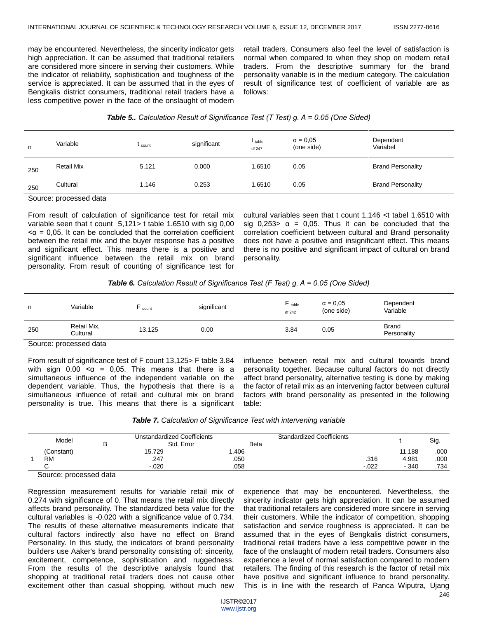may be encountered. Nevertheless, the sincerity indicator gets high appreciation. It can be assumed that traditional retailers are considered more sincere in serving their customers. While the indicator of reliability, sophistication and toughness of the service is appreciated. It can be assumed that in the eyes of Bengkalis district consumers, traditional retail traders have a less competitive power in the face of the onslaught of modern

retail traders. Consumers also feel the level of satisfaction is normal when compared to when they shop on modern retail traders. From the descriptive summary for the brand personality variable is in the medium category. The calculation result of significance test of coefficient of variable are as follows:

## *Table 5.. Calculation Result of Significance Test (T Test) g. Α = 0.05 (One Sided)*

| n   | Variable          | t <sub>count</sub> | significant | $t_{\text{table}}$<br>df 247 | $\alpha = 0.05$<br>(one side) | Dependent<br>Variabel    |
|-----|-------------------|--------------------|-------------|------------------------------|-------------------------------|--------------------------|
| 250 | <b>Retail Mix</b> | 5.121              | 0.000       | 1.6510                       | 0.05                          | <b>Brand Personality</b> |
| 250 | Cultural          | 1.146              | 0.253       | 1.6510                       | 0.05                          | <b>Brand Personality</b> |
|     |                   |                    |             |                              |                               |                          |

Source: processed data

From result of calculation of significance test for retail mix variable seen that t count 5,121> t table 1.6510 with sig 0,00  $\alpha$  = 0,05. It can be concluded that the correlation coefficient between the retail mix and the buyer response has a positive and significant effect. This means there is a positive and significant influence between the retail mix on brand personality. From result of counting of significance test for

cultural variables seen that t count 1,146 <t tabel 1.6510 with sig  $0,253$   $\alpha$  = 0,05. Thus it can be concluded that the correlation coefficient between cultural and Brand personality does not have a positive and insignificant effect. This means there is no positive and significant impact of cultural on brand personality.

## *Table 6. Calculation Result of Significance Test (F Test) g. Α = 0.05 (One Sided)*

| n.     | Variable                | count  | significant | $F_{\text{table}}$<br>df 242 | $\alpha = 0.05$<br>(one side) | Dependent<br>Variable       |
|--------|-------------------------|--------|-------------|------------------------------|-------------------------------|-----------------------------|
| 250    | Retail Mix,<br>Cultural | 13.125 | 0.00        | 3.84                         | 0.05                          | <b>Brand</b><br>Personality |
| $\sim$ | .                       |        |             |                              |                               |                             |

Source: processed data

From result of significance test of F count 13,125> F table 3.84 with sign  $0.00 \le \alpha = 0.05$ . This means that there is a simultaneous influence of the independent variable on the dependent variable. Thus, the hypothesis that there is a simultaneous influence of retail and cultural mix on brand personality is true. This means that there is a significant influence between retail mix and cultural towards brand personality together. Because cultural factors do not directly affect brand personality, alternative testing is done by making the factor of retail mix as an intervening factor between cultural factors with brand personality as presented in the following table:

| Table 7. Calculation of Significance Test with intervening variable |  |  |  |
|---------------------------------------------------------------------|--|--|--|
|---------------------------------------------------------------------|--|--|--|

| Model      |   | Jnstandardized Coefficients<br>Std. Error | <b>Beta</b> | <b>Standardized Coefficients</b> |         |        | Sig. |
|------------|---|-------------------------------------------|-------------|----------------------------------|---------|--------|------|
| (Constant) |   | 15.729                                    | .406        |                                  |         | 11.188 | .000 |
| <b>RM</b>  |   | .247                                      | .050        |                                  | .316    | 4.981  | .000 |
|            |   | $-.020$                                   | .058        |                                  | $-.022$ | .340   | .734 |
| $\sim$     | . |                                           |             |                                  |         |        |      |

Source: processed data

Regression measurement results for variable retail mix of 0.274 with significance of 0. That means the retail mix directly affects brand personality. The standardized beta value for the cultural variables is -0.020 with a significance value of 0.734. The results of these alternative measurements indicate that cultural factors indirectly also have no effect on Brand Personality. In this study, the indicators of brand personality builders use Aaker's brand personality consisting of: sincerity, excitement, competence, sophistication and ruggedness. From the results of the descriptive analysis found that shopping at traditional retail traders does not cause other excitement other than casual shopping, without much new

experience that may be encountered. Nevertheless, the sincerity indicator gets high appreciation. It can be assumed that traditional retailers are considered more sincere in serving their customers. While the indicator of competition, shopping satisfaction and service roughness is appreciated. It can be assumed that in the eyes of Bengkalis district consumers, traditional retail traders have a less competitive power in the face of the onslaught of modern retail traders. Consumers also experience a level of normal satisfaction compared to modern retailers. The finding of this research is the factor of retail mix have positive and significant influence to brand personality. This is in line with the research of Panca Wiputra, Ujang

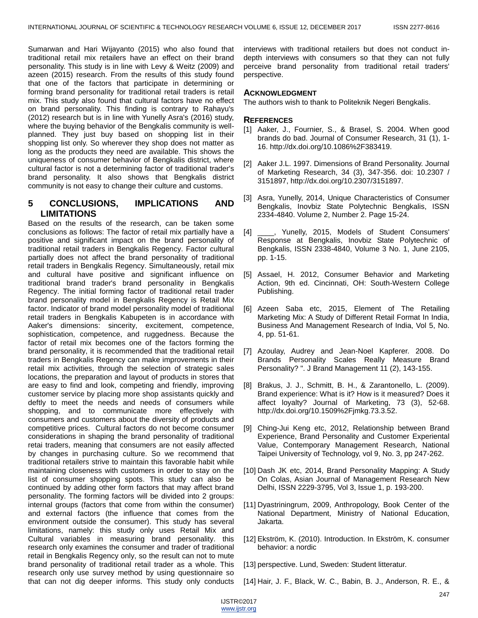Sumarwan and Hari Wijayanto (2015) who also found that traditional retail mix retailers have an effect on their brand personality. This study is in line with Levy & Weitz (2009) and azeen (2015) research. From the results of this study found that one of the factors that participate in determining or forming brand personality for traditional retail traders is retail mix. This study also found that cultural factors have no effect on brand personality. This finding is contrary to Rahayu's (2012) research but is in line with Yunelly Asra's (2016) study, where the buying behavior of the Bengkalis community is wellplanned. They just buy based on shopping list in their shopping list only. So wherever they shop does not matter as long as the products they need are available. This shows the uniqueness of consumer behavior of Bengkalis district, where cultural factor is not a determining factor of traditional trader's brand personality. It also shows that Bengkalis district community is not easy to change their culture and customs.

# **5 CONCLUSIONS, IMPLICATIONS AND LIMITATIONS**

Based on the results of the research, can be taken some conclusions as follows: The factor of retail mix partially have a positive and significant impact on the brand personality of traditional retail traders in Bengkalis Regency. Factor cultural partially does not affect the brand personality of traditional retail traders in Bengkalis Regency. Simultaneously, retail mix and cultural have positive and significant influence on traditional brand trader's brand personality in Bengkalis Regency. The initial forming factor of traditional retail trader brand personality model in Bengkalis Regency is Retail Mix factor. Indicator of brand model personality model of traditional retail traders in Bengkalis Kabupeten is in accordance with Aaker's dimensions: sincerity, excitement, competence, sophistication, competence, and ruggedness. Because the factor of retail mix becomes one of the factors forming the brand personality, it is recommended that the traditional retail traders in Bengkalis Regency can make improvements in their retail mix activities, through the selection of strategic sales locations, the preparation and layout of products in stores that are easy to find and look, competing and friendly, improving customer service by placing more shop assistants quickly and deftly to meet the needs and needs of consumers while shopping, and to communicate more effectively with consumers and customers about the diversity of products and competitive prices. Cultural factors do not become consumer considerations in shaping the brand personality of traditional retai traders, meaning that consumers are not easily affected by changes in purchasing culture. So we recommend that traditional retailers strive to maintain this favorable habit while maintaining closeness with customers in order to stay on the list of consumer shopping spots. This study can also be continued by adding other form factors that may affect brand personality. The forming factors will be divided into 2 groups: internal groups (factors that come from within the consumer) and external factors (the influence that comes from the environment outside the consumer). This study has several limitations, namely: this study only uses Retail Mix and Cultural variables in measuring brand personality. this research only examines the consumer and trader of traditional retail in Bengkalis Regency only, so the result can not to mute brand personality of traditional retail trader as a whole. This research only use survey method by using questionnaire so that can not dig deeper informs. This study only conducts

interviews with traditional retailers but does not conduct indepth interviews with consumers so that they can not fully perceive brand personality from traditional retail traders' perspective.

#### **ACKNOWLEDGMENT**

The authors wish to thank to Politeknik Negeri Bengkalis.

#### **REFERENCES**

- [1] Aaker, J., Fournier, S., & Brasel, S. 2004. When good brands do bad. Journal of Consumer Research, 31 (1), 1- 16. http://dx.doi.org/10.1086%2F383419.
- [2] Aaker J.L. 1997. Dimensions of Brand Personality. Journal of Marketing Research, 34 (3), 347-356. doi: 10.2307 / 3151897, http://dx.doi.org/10.2307/3151897.
- [3] Asra, Yunelly, 2014, Unique Characteristics of Consumer Bengkalis, Inovbiz State Polytechnic Bengkalis, ISSN 2334-4840. Volume 2, Number 2. Page 15-24.
- [4] \_\_\_\_, Yunelly, 2015, Models of Student Consumers' Response at Bengkalis, Inovbiz State Polytechnic of Bengkalis, ISSN 2338-4840, Volume 3 No. 1, June 2105, pp. 1-15.
- [5] Assael, H. 2012, Consumer Behavior and Marketing Action, 9th ed. Cincinnati, OH: South-Western College Publishing.
- [6] Azeen Saba etc, 2015, Element of The Retailing Marketing Mix: A Study of Different Retail Format In India, Business And Management Research of India, Vol 5, No. 4, pp. 51-61.
- [7] Azoulay, Audrey and Jean-Noel Kapferer. 2008. Do Brands Personality Scales Really Measure Brand Personality? ". J Brand Management 11 (2), 143-155.
- [8] Brakus, J. J., Schmitt, B. H., & Zarantonello, L. (2009). Brand experience: What is it? How is it measured? Does it affect loyalty? Journal of Marketing, 73 (3), 52-68. http://dx.doi.org/10.1509%2Fjmkg.73.3.52.
- [9] Ching-Jui Keng etc, 2012, Relationship between Brand Experience, Brand Personality and Customer Experiental Value, Contemporary Management Research, National Taipei University of Technology, vol 9, No. 3, pp 247-262.
- [10] Dash JK etc, 2014, Brand Personality Mapping: A Study On Colas, Asian Journal of Management Research New Delhi, ISSN 2229-3795, Vol 3, Issue 1, p. 193-200.
- [11] Dyastriningrum, 2009, Anthropology, Book Center of the National Department, Ministry of National Education, Jakarta.
- [12] Ekström, K. (2010). Introduction. In Ekström, K. consumer behavior: a nordic
- [13] perspective. Lund, Sweden: Student litteratur.
- [14] Hair, J. F., Black, W. C., Babin, B. J., Anderson, R. E., &